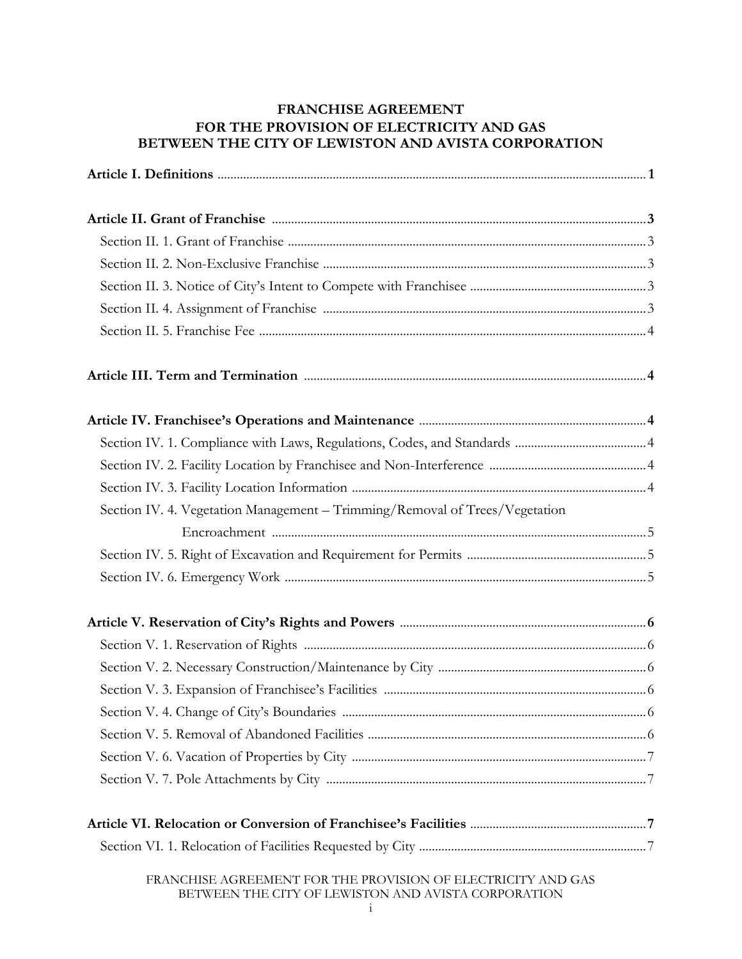# **FRANCHISE AGREEMENT FOR THE PROVISION OF ELECTRICITY AND GAS BETWEEN THE CITY OF LEWISTON AND AVISTA CORPORATION**

| Section IV. 4. Vegetation Management - Trimming/Removal of Trees/Vegetation |  |  |
|-----------------------------------------------------------------------------|--|--|
|                                                                             |  |  |
|                                                                             |  |  |
|                                                                             |  |  |
|                                                                             |  |  |
|                                                                             |  |  |
|                                                                             |  |  |
|                                                                             |  |  |
|                                                                             |  |  |
|                                                                             |  |  |
|                                                                             |  |  |
|                                                                             |  |  |
|                                                                             |  |  |
|                                                                             |  |  |
| FRANCHISE AGREEMENT FOR THE PROVISION OF ELECTRICITY AND GAS                |  |  |

BETWEEN THE CITY OF LEWISTON AND AVISTA CORPORATION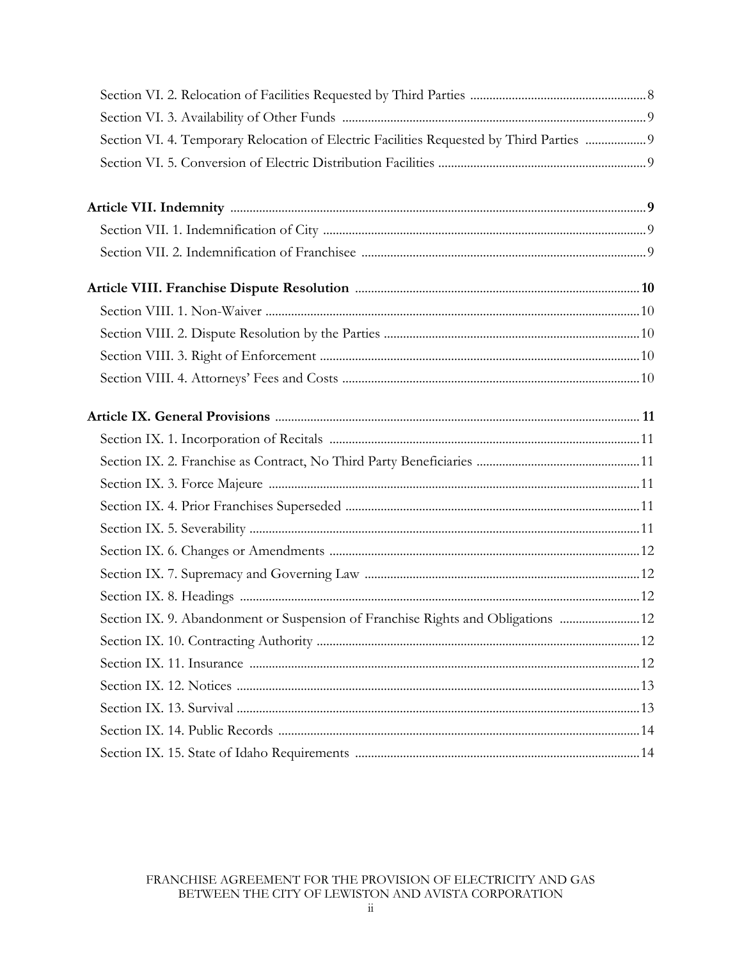| Section VI. 4. Temporary Relocation of Electric Facilities Requested by Third Parties  9 |  |
|------------------------------------------------------------------------------------------|--|
|                                                                                          |  |
|                                                                                          |  |
|                                                                                          |  |
|                                                                                          |  |
|                                                                                          |  |
|                                                                                          |  |
|                                                                                          |  |
|                                                                                          |  |
|                                                                                          |  |
|                                                                                          |  |
|                                                                                          |  |
|                                                                                          |  |
|                                                                                          |  |
|                                                                                          |  |
|                                                                                          |  |
|                                                                                          |  |
|                                                                                          |  |
|                                                                                          |  |
| Section IX. 9. Abandonment or Suspension of Franchise Rights and Obligations  12         |  |
|                                                                                          |  |
|                                                                                          |  |
|                                                                                          |  |
|                                                                                          |  |
|                                                                                          |  |
|                                                                                          |  |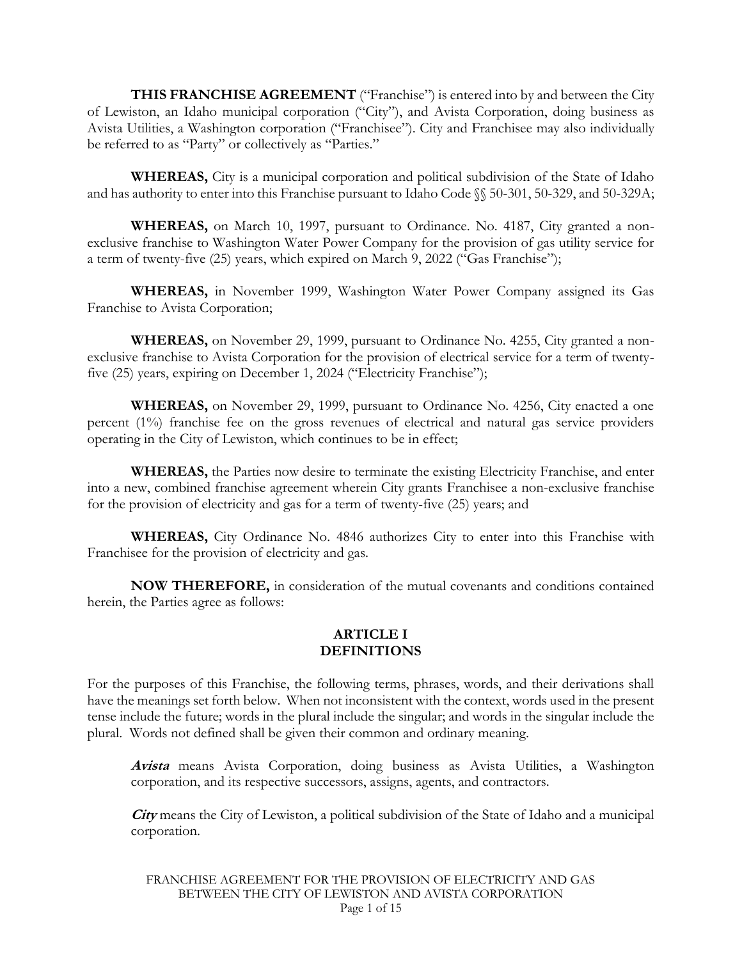**THIS FRANCHISE AGREEMENT** ("Franchise") is entered into by and between the City of Lewiston, an Idaho municipal corporation ("City"), and Avista Corporation, doing business as Avista Utilities, a Washington corporation ("Franchisee"). City and Franchisee may also individually be referred to as "Party" or collectively as "Parties."

**WHEREAS,** City is a municipal corporation and political subdivision of the State of Idaho and has authority to enter into this Franchise pursuant to Idaho Code §§ 50-301, 50-329, and 50-329A;

**WHEREAS,** on March 10, 1997, pursuant to Ordinance. No. 4187, City granted a nonexclusive franchise to Washington Water Power Company for the provision of gas utility service for a term of twenty-five (25) years, which expired on March 9, 2022 ("Gas Franchise");

**WHEREAS,** in November 1999, Washington Water Power Company assigned its Gas Franchise to Avista Corporation;

**WHEREAS,** on November 29, 1999, pursuant to Ordinance No. 4255, City granted a nonexclusive franchise to Avista Corporation for the provision of electrical service for a term of twentyfive (25) years, expiring on December 1, 2024 ("Electricity Franchise");

**WHEREAS,** on November 29, 1999, pursuant to Ordinance No. 4256, City enacted a one percent (1%) franchise fee on the gross revenues of electrical and natural gas service providers operating in the City of Lewiston, which continues to be in effect;

**WHEREAS,** the Parties now desire to terminate the existing Electricity Franchise, and enter into a new, combined franchise agreement wherein City grants Franchisee a non-exclusive franchise for the provision of electricity and gas for a term of twenty-five (25) years; and

**WHEREAS,** City Ordinance No. 4846 authorizes City to enter into this Franchise with Franchisee for the provision of electricity and gas.

**NOW THEREFORE,** in consideration of the mutual covenants and conditions contained herein, the Parties agree as follows:

#### **ARTICLE I DEFINITIONS**

For the purposes of this Franchise, the following terms, phrases, words, and their derivations shall have the meanings set forth below. When not inconsistent with the context, words used in the present tense include the future; words in the plural include the singular; and words in the singular include the plural. Words not defined shall be given their common and ordinary meaning.

**Avista** means Avista Corporation, doing business as Avista Utilities, a Washington corporation, and its respective successors, assigns, agents, and contractors.

**City** means the City of Lewiston, a political subdivision of the State of Idaho and a municipal corporation.

FRANCHISE AGREEMENT FOR THE PROVISION OF ELECTRICITY AND GAS BETWEEN THE CITY OF LEWISTON AND AVISTA CORPORATION Page 1 of 15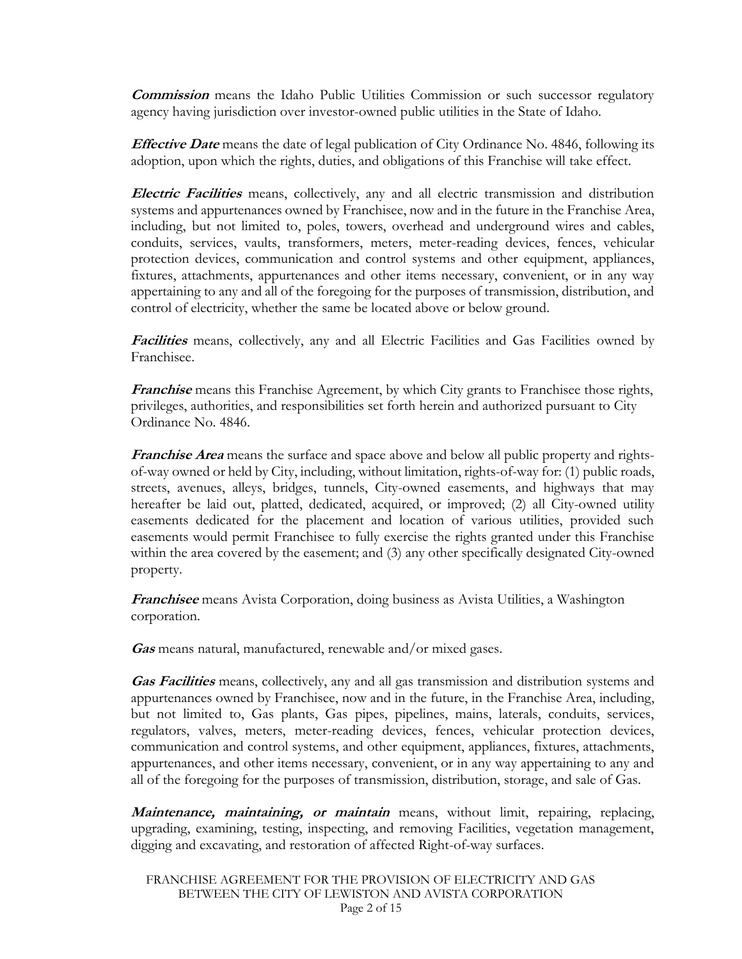**Commission** means the Idaho Public Utilities Commission or such successor regulatory agency having jurisdiction over investor-owned public utilities in the State of Idaho.

**Effective Date** means the date of legal publication of City Ordinance No. 4846, following its adoption, upon which the rights, duties, and obligations of this Franchise will take effect.

**Electric Facilities** means, collectively, any and all electric transmission and distribution systems and appurtenances owned by Franchisee, now and in the future in the Franchise Area, including, but not limited to, poles, towers, overhead and underground wires and cables, conduits, services, vaults, transformers, meters, meter-reading devices, fences, vehicular protection devices, communication and control systems and other equipment, appliances, fixtures, attachments, appurtenances and other items necessary, convenient, or in any way appertaining to any and all of the foregoing for the purposes of transmission, distribution, and control of electricity, whether the same be located above or below ground.

**Facilities** means, collectively, any and all Electric Facilities and Gas Facilities owned by Franchisee.

**Franchise** means this Franchise Agreement, by which City grants to Franchisee those rights, privileges, authorities, and responsibilities set forth herein and authorized pursuant to City Ordinance No. 4846.

**Franchise Area** means the surface and space above and below all public property and rightsof-way owned or held by City, including, without limitation, rights-of-way for: (1) public roads, streets, avenues, alleys, bridges, tunnels, City-owned easements, and highways that may hereafter be laid out, platted, dedicated, acquired, or improved; (2) all City-owned utility easements dedicated for the placement and location of various utilities, provided such easements would permit Franchisee to fully exercise the rights granted under this Franchise within the area covered by the easement; and (3) any other specifically designated City-owned property.

**Franchisee** means Avista Corporation, doing business as Avista Utilities, a Washington corporation.

**Gas** means natural, manufactured, renewable and/or mixed gases.

**Gas Facilities** means, collectively, any and all gas transmission and distribution systems and appurtenances owned by Franchisee, now and in the future, in the Franchise Area, including, but not limited to, Gas plants, Gas pipes, pipelines, mains, laterals, conduits, services, regulators, valves, meters, meter-reading devices, fences, vehicular protection devices, communication and control systems, and other equipment, appliances, fixtures, attachments, appurtenances, and other items necessary, convenient, or in any way appertaining to any and all of the foregoing for the purposes of transmission, distribution, storage, and sale of Gas.

**Maintenance, maintaining, or maintain** means, without limit, repairing, replacing, upgrading, examining, testing, inspecting, and removing Facilities, vegetation management, digging and excavating, and restoration of affected Right-of-way surfaces.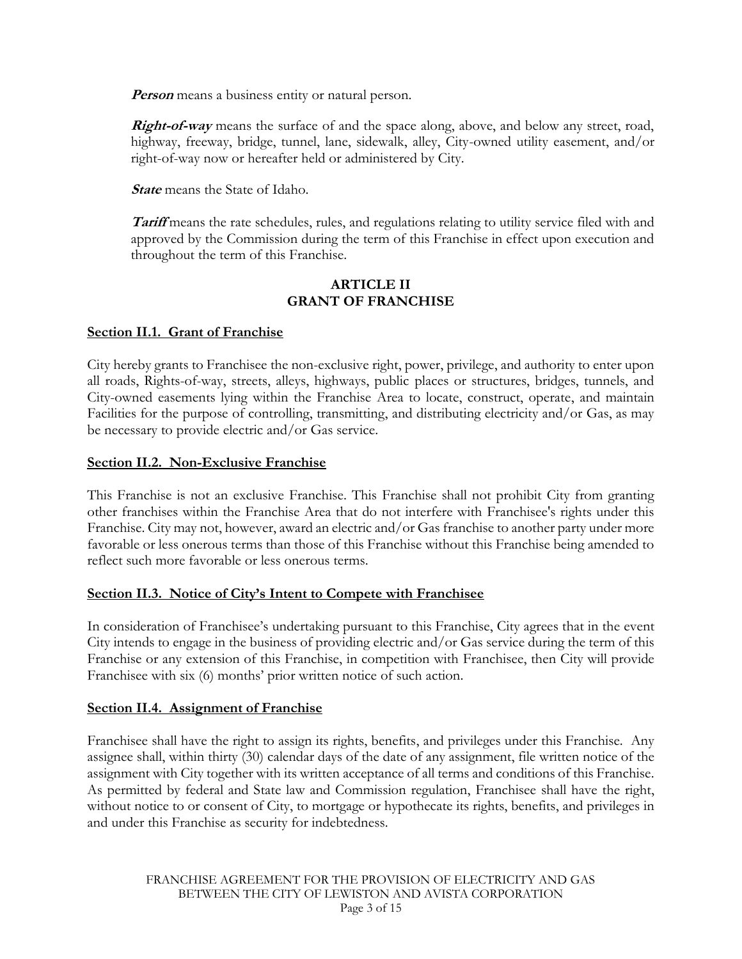*Person* means a business entity or natural person.

**Right-of-way** means the surface of and the space along, above, and below any street, road, highway, freeway, bridge, tunnel, lane, sidewalk, alley, City-owned utility easement, and/or right-of-way now or hereafter held or administered by City.

**State** means the State of Idaho.

**Tariff** means the rate schedules, rules, and regulations relating to utility service filed with and approved by the Commission during the term of this Franchise in effect upon execution and throughout the term of this Franchise.

### **ARTICLE II GRANT OF FRANCHISE**

## **Section II.1. Grant of Franchise**

City hereby grants to Franchisee the non-exclusive right, power, privilege, and authority to enter upon all roads, Rights-of-way, streets, alleys, highways, public places or structures, bridges, tunnels, and City-owned easements lying within the Franchise Area to locate, construct, operate, and maintain Facilities for the purpose of controlling, transmitting, and distributing electricity and/or Gas, as may be necessary to provide electric and/or Gas service.

## **Section II.2. Non-Exclusive Franchise**

This Franchise is not an exclusive Franchise. This Franchise shall not prohibit City from granting other franchises within the Franchise Area that do not interfere with Franchisee's rights under this Franchise. City may not, however, award an electric and/or Gas franchise to another party under more favorable or less onerous terms than those of this Franchise without this Franchise being amended to reflect such more favorable or less onerous terms.

# **Section II.3. Notice of City's Intent to Compete with Franchisee**

In consideration of Franchisee's undertaking pursuant to this Franchise, City agrees that in the event City intends to engage in the business of providing electric and/or Gas service during the term of this Franchise or any extension of this Franchise, in competition with Franchisee, then City will provide Franchisee with six (6) months' prior written notice of such action.

### **Section II.4. Assignment of Franchise**

Franchisee shall have the right to assign its rights, benefits, and privileges under this Franchise. Any assignee shall, within thirty (30) calendar days of the date of any assignment, file written notice of the assignment with City together with its written acceptance of all terms and conditions of this Franchise. As permitted by federal and State law and Commission regulation, Franchisee shall have the right, without notice to or consent of City, to mortgage or hypothecate its rights, benefits, and privileges in and under this Franchise as security for indebtedness.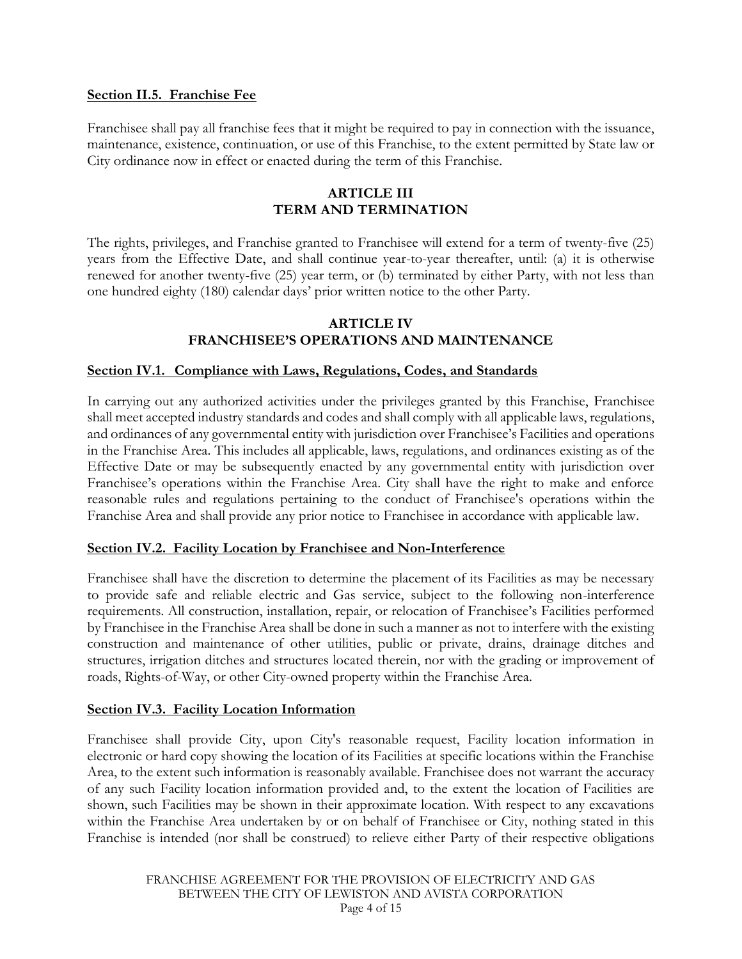#### **Section II.5. Franchise Fee**

Franchisee shall pay all franchise fees that it might be required to pay in connection with the issuance, maintenance, existence, continuation, or use of this Franchise, to the extent permitted by State law or City ordinance now in effect or enacted during the term of this Franchise.

## **ARTICLE III TERM AND TERMINATION**

The rights, privileges, and Franchise granted to Franchisee will extend for a term of twenty-five (25) years from the Effective Date, and shall continue year-to-year thereafter, until: (a) it is otherwise renewed for another twenty-five (25) year term, or (b) terminated by either Party, with not less than one hundred eighty (180) calendar days' prior written notice to the other Party.

### **ARTICLE IV FRANCHISEE'S OPERATIONS AND MAINTENANCE**

#### **Section IV.1. Compliance with Laws, Regulations, Codes, and Standards**

In carrying out any authorized activities under the privileges granted by this Franchise, Franchisee shall meet accepted industry standards and codes and shall comply with all applicable laws, regulations, and ordinances of any governmental entity with jurisdiction over Franchisee's Facilities and operations in the Franchise Area. This includes all applicable, laws, regulations, and ordinances existing as of the Effective Date or may be subsequently enacted by any governmental entity with jurisdiction over Franchisee's operations within the Franchise Area. City shall have the right to make and enforce reasonable rules and regulations pertaining to the conduct of Franchisee's operations within the Franchise Area and shall provide any prior notice to Franchisee in accordance with applicable law.

#### **Section IV.2. Facility Location by Franchisee and Non-Interference**

Franchisee shall have the discretion to determine the placement of its Facilities as may be necessary to provide safe and reliable electric and Gas service, subject to the following non-interference requirements. All construction, installation, repair, or relocation of Franchisee's Facilities performed by Franchisee in the Franchise Area shall be done in such a manner as not to interfere with the existing construction and maintenance of other utilities, public or private, drains, drainage ditches and structures, irrigation ditches and structures located therein, nor with the grading or improvement of roads, Rights-of-Way, or other City-owned property within the Franchise Area.

#### **Section IV.3. Facility Location Information**

Franchisee shall provide City, upon City's reasonable request, Facility location information in electronic or hard copy showing the location of its Facilities at specific locations within the Franchise Area, to the extent such information is reasonably available. Franchisee does not warrant the accuracy of any such Facility location information provided and, to the extent the location of Facilities are shown, such Facilities may be shown in their approximate location. With respect to any excavations within the Franchise Area undertaken by or on behalf of Franchisee or City, nothing stated in this Franchise is intended (nor shall be construed) to relieve either Party of their respective obligations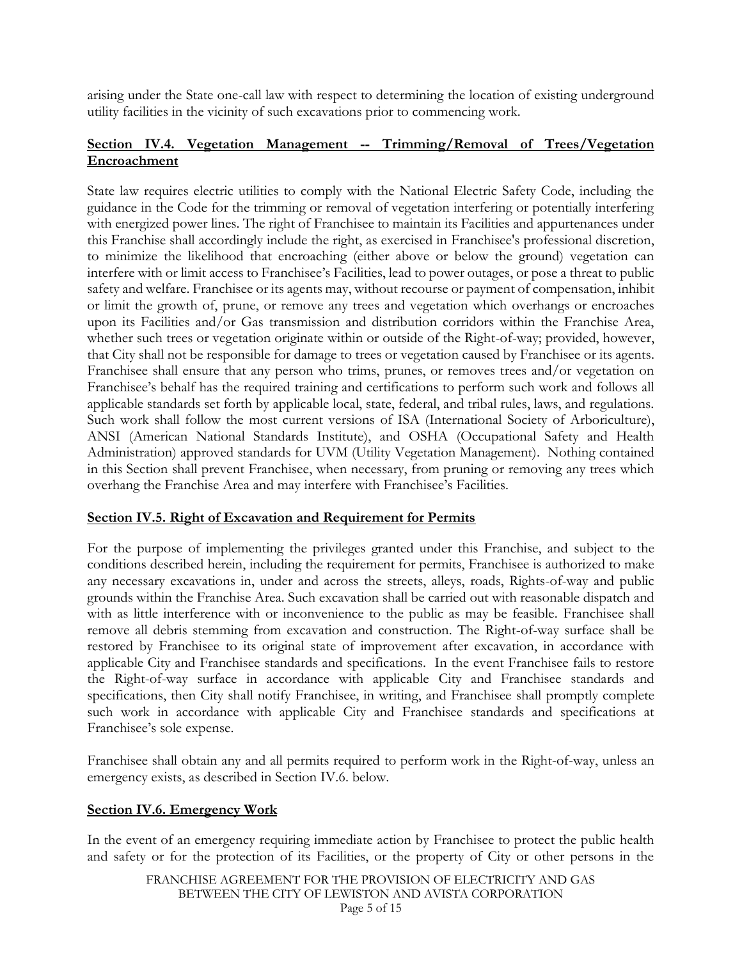arising under the State one-call law with respect to determining the location of existing underground utility facilities in the vicinity of such excavations prior to commencing work.

# **Section IV.4. Vegetation Management -- Trimming/Removal of Trees/Vegetation Encroachment**

State law requires electric utilities to comply with the National Electric Safety Code, including the guidance in the Code for the trimming or removal of vegetation interfering or potentially interfering with energized power lines. The right of Franchisee to maintain its Facilities and appurtenances under this Franchise shall accordingly include the right, as exercised in Franchisee's professional discretion, to minimize the likelihood that encroaching (either above or below the ground) vegetation can interfere with or limit access to Franchisee's Facilities, lead to power outages, or pose a threat to public safety and welfare. Franchisee or its agents may, without recourse or payment of compensation, inhibit or limit the growth of, prune, or remove any trees and vegetation which overhangs or encroaches upon its Facilities and/or Gas transmission and distribution corridors within the Franchise Area, whether such trees or vegetation originate within or outside of the Right-of-way; provided, however, that City shall not be responsible for damage to trees or vegetation caused by Franchisee or its agents. Franchisee shall ensure that any person who trims, prunes, or removes trees and/or vegetation on Franchisee's behalf has the required training and certifications to perform such work and follows all applicable standards set forth by applicable local, state, federal, and tribal rules, laws, and regulations. Such work shall follow the most current versions of ISA (International Society of Arboriculture), ANSI (American National Standards Institute), and OSHA (Occupational Safety and Health Administration) approved standards for UVM (Utility Vegetation Management). Nothing contained in this Section shall prevent Franchisee, when necessary, from pruning or removing any trees which overhang the Franchise Area and may interfere with Franchisee's Facilities.

# **Section IV.5. Right of Excavation and Requirement for Permits**

For the purpose of implementing the privileges granted under this Franchise, and subject to the conditions described herein, including the requirement for permits, Franchisee is authorized to make any necessary excavations in, under and across the streets, alleys, roads, Rights-of-way and public grounds within the Franchise Area. Such excavation shall be carried out with reasonable dispatch and with as little interference with or inconvenience to the public as may be feasible. Franchisee shall remove all debris stemming from excavation and construction. The Right-of-way surface shall be restored by Franchisee to its original state of improvement after excavation, in accordance with applicable City and Franchisee standards and specifications. In the event Franchisee fails to restore the Right-of-way surface in accordance with applicable City and Franchisee standards and specifications, then City shall notify Franchisee, in writing, and Franchisee shall promptly complete such work in accordance with applicable City and Franchisee standards and specifications at Franchisee's sole expense.

Franchisee shall obtain any and all permits required to perform work in the Right-of-way, unless an emergency exists, as described in Section IV.6. below.

### **Section IV.6. Emergency Work**

In the event of an emergency requiring immediate action by Franchisee to protect the public health and safety or for the protection of its Facilities, or the property of City or other persons in the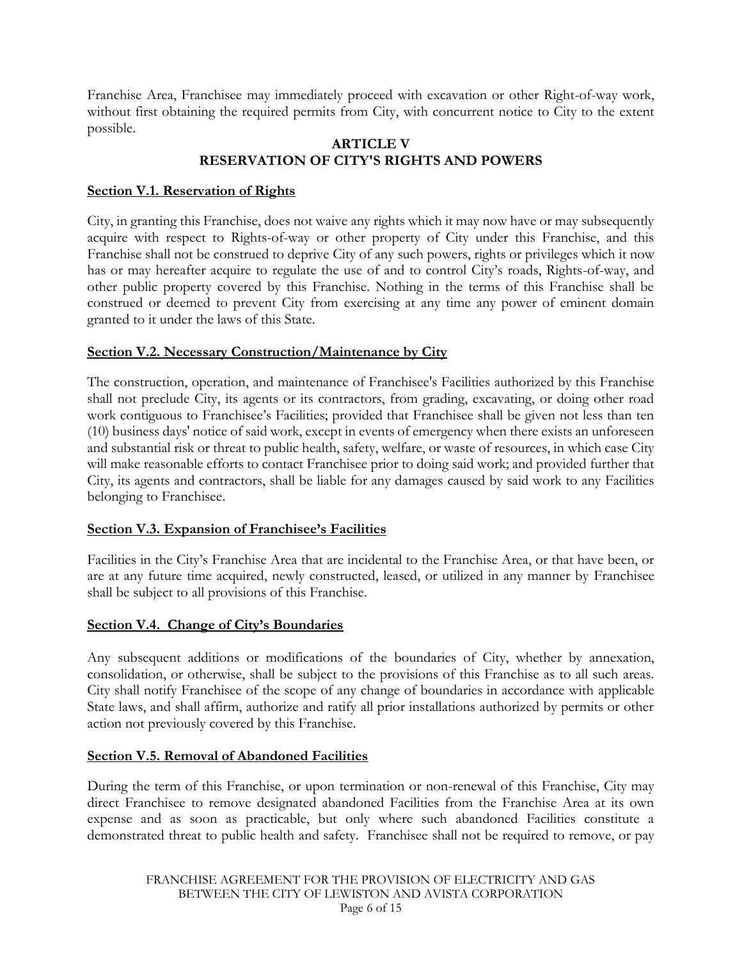Franchise Area, Franchisee may immediately proceed with excavation or other Right-of-way work, without first obtaining the required permits from City, with concurrent notice to City to the extent possible.

## **ARTICLE V RESERVATION OF CITY'S RIGHTS AND POWERS**

## **Section V.1. Reservation of Rights**

City, in granting this Franchise, does not waive any rights which it may now have or may subsequently acquire with respect to Rights-of-way or other property of City under this Franchise, and this Franchise shall not be construed to deprive City of any such powers, rights or privileges which it now has or may hereafter acquire to regulate the use of and to control City's roads, Rights-of-way, and other public property covered by this Franchise. Nothing in the terms of this Franchise shall be construed or deemed to prevent City from exercising at any time any power of eminent domain granted to it under the laws of this State.

# **Section V.2. Necessary Construction/Maintenance by City**

The construction, operation, and maintenance of Franchisee's Facilities authorized by this Franchise shall not preclude City, its agents or its contractors, from grading, excavating, or doing other road work contiguous to Franchisee's Facilities; provided that Franchisee shall be given not less than ten (10) business days' notice of said work, except in events of emergency when there exists an unforeseen and substantial risk or threat to public health, safety, welfare, or waste of resources, in which case City will make reasonable efforts to contact Franchisee prior to doing said work; and provided further that City, its agents and contractors, shall be liable for any damages caused by said work to any Facilities belonging to Franchisee.

### **Section V.3. Expansion of Franchisee's Facilities**

Facilities in the City's Franchise Area that are incidental to the Franchise Area, or that have been, or are at any future time acquired, newly constructed, leased, or utilized in any manner by Franchisee shall be subject to all provisions of this Franchise.

### **Section V.4. Change of City's Boundaries**

Any subsequent additions or modifications of the boundaries of City, whether by annexation, consolidation, or otherwise, shall be subject to the provisions of this Franchise as to all such areas. City shall notify Franchisee of the scope of any change of boundaries in accordance with applicable State laws, and shall affirm, authorize and ratify all prior installations authorized by permits or other action not previously covered by this Franchise.

# **Section V.5. Removal of Abandoned Facilities**

During the term of this Franchise, or upon termination or non-renewal of this Franchise, City may direct Franchisee to remove designated abandoned Facilities from the Franchise Area at its own expense and as soon as practicable, but only where such abandoned Facilities constitute a demonstrated threat to public health and safety. Franchisee shall not be required to remove, or pay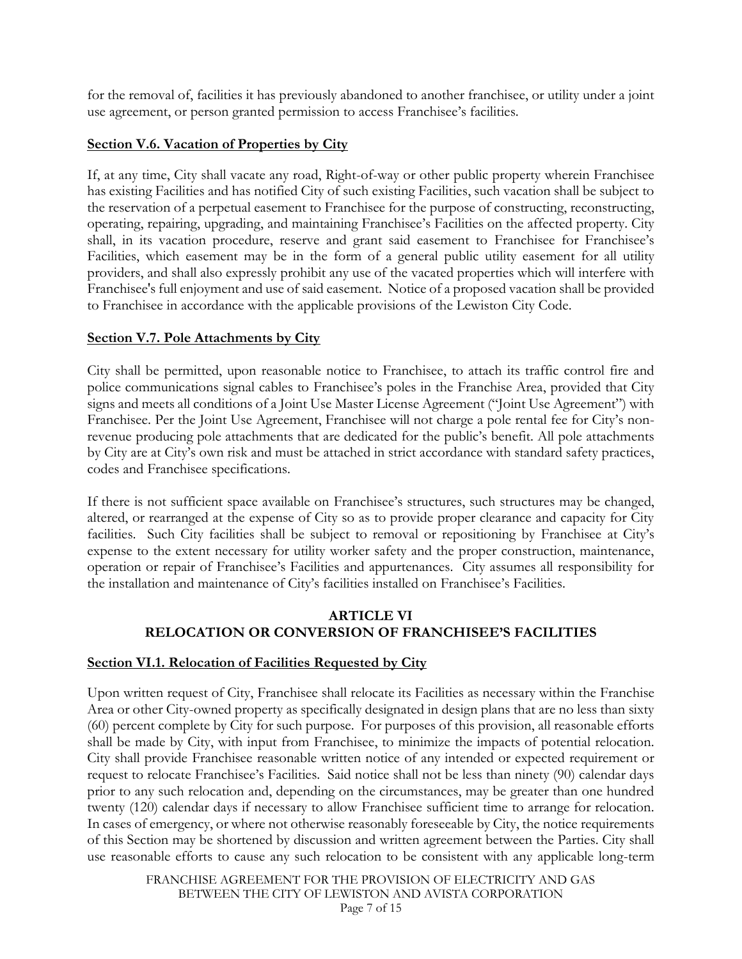for the removal of, facilities it has previously abandoned to another franchisee, or utility under a joint use agreement, or person granted permission to access Franchisee's facilities.

## **Section V.6. Vacation of Properties by City**

If, at any time, City shall vacate any road, Right-of-way or other public property wherein Franchisee has existing Facilities and has notified City of such existing Facilities, such vacation shall be subject to the reservation of a perpetual easement to Franchisee for the purpose of constructing, reconstructing, operating, repairing, upgrading, and maintaining Franchisee's Facilities on the affected property. City shall, in its vacation procedure, reserve and grant said easement to Franchisee for Franchisee's Facilities, which easement may be in the form of a general public utility easement for all utility providers, and shall also expressly prohibit any use of the vacated properties which will interfere with Franchisee's full enjoyment and use of said easement. Notice of a proposed vacation shall be provided to Franchisee in accordance with the applicable provisions of the Lewiston City Code.

## **Section V.7. Pole Attachments by City**

City shall be permitted, upon reasonable notice to Franchisee, to attach its traffic control fire and police communications signal cables to Franchisee's poles in the Franchise Area, provided that City signs and meets all conditions of a Joint Use Master License Agreement ("Joint Use Agreement") with Franchisee. Per the Joint Use Agreement, Franchisee will not charge a pole rental fee for City's nonrevenue producing pole attachments that are dedicated for the public's benefit. All pole attachments by City are at City's own risk and must be attached in strict accordance with standard safety practices, codes and Franchisee specifications.

If there is not sufficient space available on Franchisee's structures, such structures may be changed, altered, or rearranged at the expense of City so as to provide proper clearance and capacity for City facilities. Such City facilities shall be subject to removal or repositioning by Franchisee at City's expense to the extent necessary for utility worker safety and the proper construction, maintenance, operation or repair of Franchisee's Facilities and appurtenances. City assumes all responsibility for the installation and maintenance of City's facilities installed on Franchisee's Facilities.

## **ARTICLE VI RELOCATION OR CONVERSION OF FRANCHISEE'S FACILITIES**

# **Section VI.1. Relocation of Facilities Requested by City**

Upon written request of City, Franchisee shall relocate its Facilities as necessary within the Franchise Area or other City-owned property as specifically designated in design plans that are no less than sixty (60) percent complete by City for such purpose. For purposes of this provision, all reasonable efforts shall be made by City, with input from Franchisee, to minimize the impacts of potential relocation. City shall provide Franchisee reasonable written notice of any intended or expected requirement or request to relocate Franchisee's Facilities. Said notice shall not be less than ninety (90) calendar days prior to any such relocation and, depending on the circumstances, may be greater than one hundred twenty (120) calendar days if necessary to allow Franchisee sufficient time to arrange for relocation. In cases of emergency, or where not otherwise reasonably foreseeable by City, the notice requirements of this Section may be shortened by discussion and written agreement between the Parties. City shall use reasonable efforts to cause any such relocation to be consistent with any applicable long-term

> FRANCHISE AGREEMENT FOR THE PROVISION OF ELECTRICITY AND GAS BETWEEN THE CITY OF LEWISTON AND AVISTA CORPORATION Page 7 of 15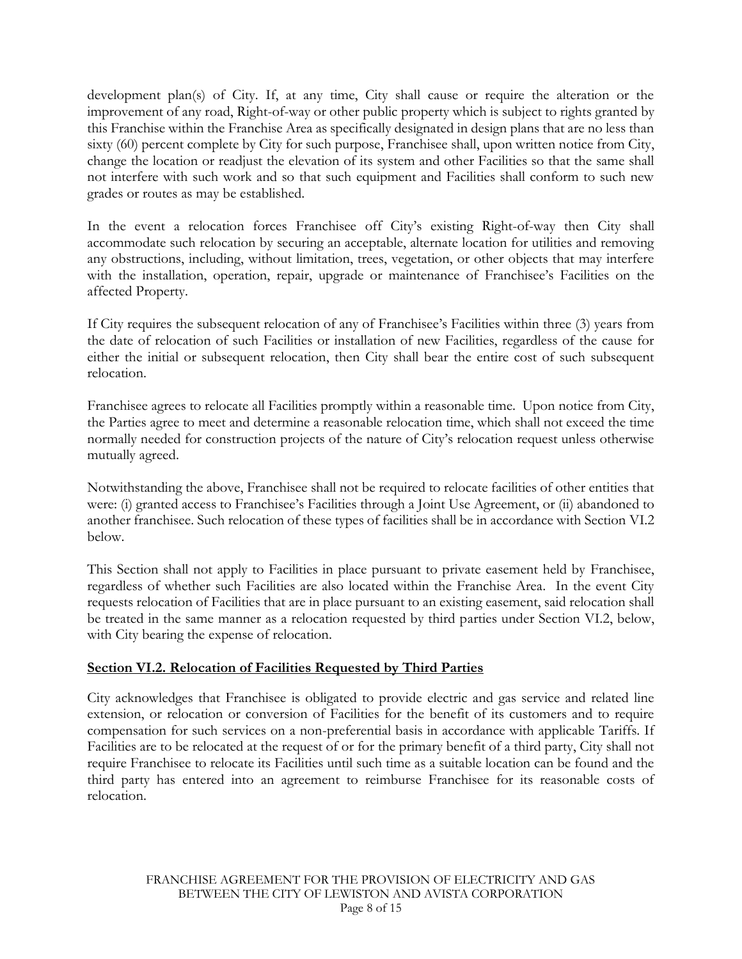development plan(s) of City. If, at any time, City shall cause or require the alteration or the improvement of any road, Right-of-way or other public property which is subject to rights granted by this Franchise within the Franchise Area as specifically designated in design plans that are no less than sixty (60) percent complete by City for such purpose, Franchisee shall, upon written notice from City, change the location or readjust the elevation of its system and other Facilities so that the same shall not interfere with such work and so that such equipment and Facilities shall conform to such new grades or routes as may be established.

In the event a relocation forces Franchisee off City's existing Right-of-way then City shall accommodate such relocation by securing an acceptable, alternate location for utilities and removing any obstructions, including, without limitation, trees, vegetation, or other objects that may interfere with the installation, operation, repair, upgrade or maintenance of Franchisee's Facilities on the affected Property.

If City requires the subsequent relocation of any of Franchisee's Facilities within three (3) years from the date of relocation of such Facilities or installation of new Facilities, regardless of the cause for either the initial or subsequent relocation, then City shall bear the entire cost of such subsequent relocation.

Franchisee agrees to relocate all Facilities promptly within a reasonable time. Upon notice from City, the Parties agree to meet and determine a reasonable relocation time, which shall not exceed the time normally needed for construction projects of the nature of City's relocation request unless otherwise mutually agreed.

Notwithstanding the above, Franchisee shall not be required to relocate facilities of other entities that were: (i) granted access to Franchisee's Facilities through a Joint Use Agreement, or (ii) abandoned to another franchisee. Such relocation of these types of facilities shall be in accordance with Section VI.2 below.

This Section shall not apply to Facilities in place pursuant to private easement held by Franchisee, regardless of whether such Facilities are also located within the Franchise Area. In the event City requests relocation of Facilities that are in place pursuant to an existing easement, said relocation shall be treated in the same manner as a relocation requested by third parties under Section VI.2, below, with City bearing the expense of relocation.

# **Section VI.2. Relocation of Facilities Requested by Third Parties**

City acknowledges that Franchisee is obligated to provide electric and gas service and related line extension, or relocation or conversion of Facilities for the benefit of its customers and to require compensation for such services on a non-preferential basis in accordance with applicable Tariffs. If Facilities are to be relocated at the request of or for the primary benefit of a third party, City shall not require Franchisee to relocate its Facilities until such time as a suitable location can be found and the third party has entered into an agreement to reimburse Franchisee for its reasonable costs of relocation.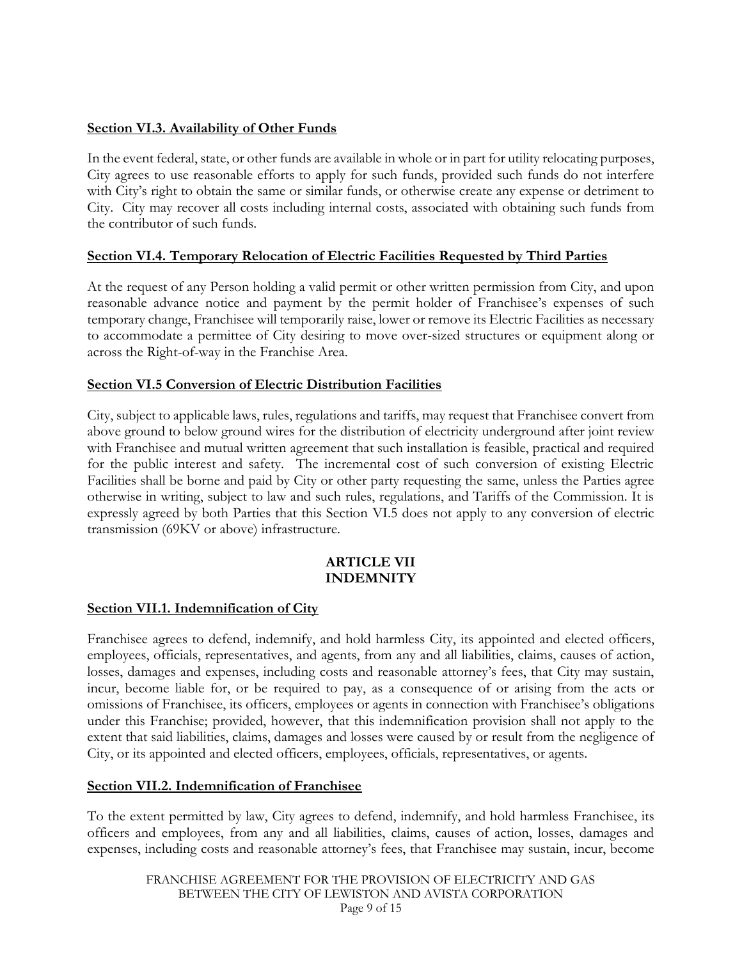## **Section VI.3. Availability of Other Funds**

In the event federal, state, or other funds are available in whole or in part for utility relocating purposes, City agrees to use reasonable efforts to apply for such funds, provided such funds do not interfere with City's right to obtain the same or similar funds, or otherwise create any expense or detriment to City. City may recover all costs including internal costs, associated with obtaining such funds from the contributor of such funds.

## **Section VI.4. Temporary Relocation of Electric Facilities Requested by Third Parties**

At the request of any Person holding a valid permit or other written permission from City, and upon reasonable advance notice and payment by the permit holder of Franchisee's expenses of such temporary change, Franchisee will temporarily raise, lower or remove its Electric Facilities as necessary to accommodate a permittee of City desiring to move over-sized structures or equipment along or across the Right-of-way in the Franchise Area.

## **Section VI.5 Conversion of Electric Distribution Facilities**

City, subject to applicable laws, rules, regulations and tariffs, may request that Franchisee convert from above ground to below ground wires for the distribution of electricity underground after joint review with Franchisee and mutual written agreement that such installation is feasible, practical and required for the public interest and safety. The incremental cost of such conversion of existing Electric Facilities shall be borne and paid by City or other party requesting the same, unless the Parties agree otherwise in writing, subject to law and such rules, regulations, and Tariffs of the Commission. It is expressly agreed by both Parties that this Section VI.5 does not apply to any conversion of electric transmission (69KV or above) infrastructure.

#### **ARTICLE VII INDEMNITY**

### **Section VII.1. Indemnification of City**

Franchisee agrees to defend, indemnify, and hold harmless City, its appointed and elected officers, employees, officials, representatives, and agents, from any and all liabilities, claims, causes of action, losses, damages and expenses, including costs and reasonable attorney's fees, that City may sustain, incur, become liable for, or be required to pay, as a consequence of or arising from the acts or omissions of Franchisee, its officers, employees or agents in connection with Franchisee's obligations under this Franchise; provided, however, that this indemnification provision shall not apply to the extent that said liabilities, claims, damages and losses were caused by or result from the negligence of City, or its appointed and elected officers, employees, officials, representatives, or agents.

### **Section VII.2. Indemnification of Franchisee**

To the extent permitted by law, City agrees to defend, indemnify, and hold harmless Franchisee, its officers and employees, from any and all liabilities, claims, causes of action, losses, damages and expenses, including costs and reasonable attorney's fees, that Franchisee may sustain, incur, become

FRANCHISE AGREEMENT FOR THE PROVISION OF ELECTRICITY AND GAS BETWEEN THE CITY OF LEWISTON AND AVISTA CORPORATION Page 9 of 15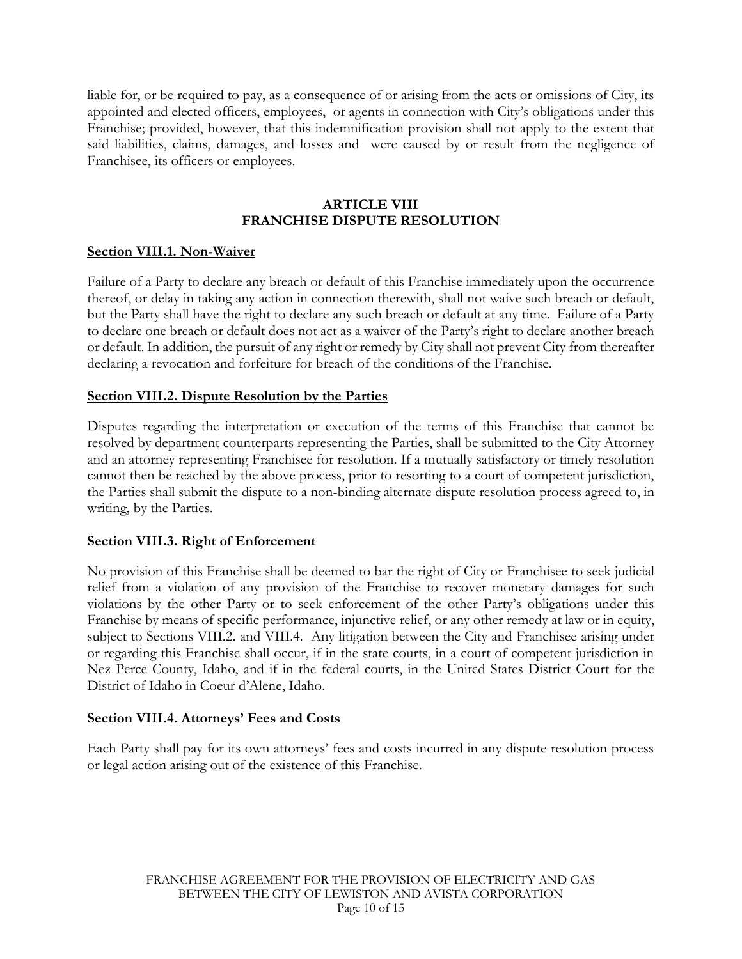liable for, or be required to pay, as a consequence of or arising from the acts or omissions of City, its appointed and elected officers, employees, or agents in connection with City's obligations under this Franchise; provided, however, that this indemnification provision shall not apply to the extent that said liabilities, claims, damages, and losses and were caused by or result from the negligence of Franchisee, its officers or employees.

## **ARTICLE VIII FRANCHISE DISPUTE RESOLUTION**

### **Section VIII.1. Non-Waiver**

Failure of a Party to declare any breach or default of this Franchise immediately upon the occurrence thereof, or delay in taking any action in connection therewith, shall not waive such breach or default, but the Party shall have the right to declare any such breach or default at any time. Failure of a Party to declare one breach or default does not act as a waiver of the Party's right to declare another breach or default. In addition, the pursuit of any right or remedy by City shall not prevent City from thereafter declaring a revocation and forfeiture for breach of the conditions of the Franchise.

## **Section VIII.2. Dispute Resolution by the Parties**

Disputes regarding the interpretation or execution of the terms of this Franchise that cannot be resolved by department counterparts representing the Parties, shall be submitted to the City Attorney and an attorney representing Franchisee for resolution. If a mutually satisfactory or timely resolution cannot then be reached by the above process, prior to resorting to a court of competent jurisdiction, the Parties shall submit the dispute to a non-binding alternate dispute resolution process agreed to, in writing, by the Parties.

### **Section VIII.3. Right of Enforcement**

No provision of this Franchise shall be deemed to bar the right of City or Franchisee to seek judicial relief from a violation of any provision of the Franchise to recover monetary damages for such violations by the other Party or to seek enforcement of the other Party's obligations under this Franchise by means of specific performance, injunctive relief, or any other remedy at law or in equity, subject to Sections VIII.2. and VIII.4. Any litigation between the City and Franchisee arising under or regarding this Franchise shall occur, if in the state courts, in a court of competent jurisdiction in Nez Perce County, Idaho, and if in the federal courts, in the United States District Court for the District of Idaho in Coeur d'Alene, Idaho.

### **Section VIII.4. Attorneys' Fees and Costs**

Each Party shall pay for its own attorneys' fees and costs incurred in any dispute resolution process or legal action arising out of the existence of this Franchise.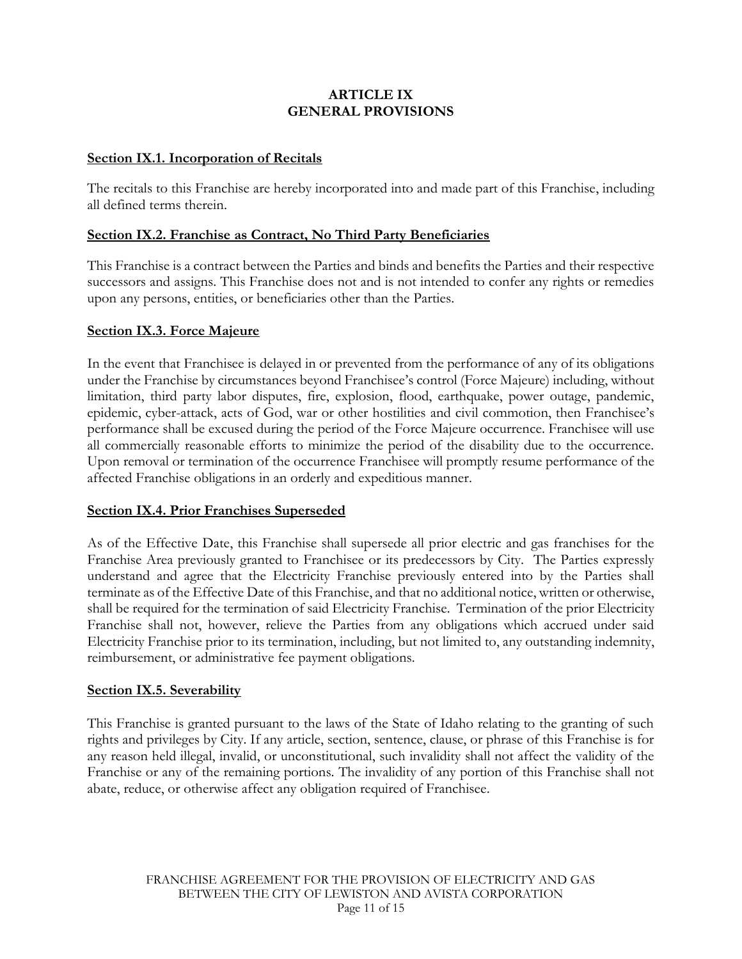## **ARTICLE IX GENERAL PROVISIONS**

### **Section IX.1. Incorporation of Recitals**

The recitals to this Franchise are hereby incorporated into and made part of this Franchise, including all defined terms therein.

#### **Section IX.2. Franchise as Contract, No Third Party Beneficiaries**

This Franchise is a contract between the Parties and binds and benefits the Parties and their respective successors and assigns. This Franchise does not and is not intended to confer any rights or remedies upon any persons, entities, or beneficiaries other than the Parties.

#### **Section IX.3. Force Majeure**

In the event that Franchisee is delayed in or prevented from the performance of any of its obligations under the Franchise by circumstances beyond Franchisee's control (Force Majeure) including, without limitation, third party labor disputes, fire, explosion, flood, earthquake, power outage, pandemic, epidemic, cyber-attack, acts of God, war or other hostilities and civil commotion, then Franchisee's performance shall be excused during the period of the Force Majeure occurrence. Franchisee will use all commercially reasonable efforts to minimize the period of the disability due to the occurrence. Upon removal or termination of the occurrence Franchisee will promptly resume performance of the affected Franchise obligations in an orderly and expeditious manner.

#### **Section IX.4. Prior Franchises Superseded**

As of the Effective Date, this Franchise shall supersede all prior electric and gas franchises for the Franchise Area previously granted to Franchisee or its predecessors by City. The Parties expressly understand and agree that the Electricity Franchise previously entered into by the Parties shall terminate as of the Effective Date of this Franchise, and that no additional notice, written or otherwise, shall be required for the termination of said Electricity Franchise. Termination of the prior Electricity Franchise shall not, however, relieve the Parties from any obligations which accrued under said Electricity Franchise prior to its termination, including, but not limited to, any outstanding indemnity, reimbursement, or administrative fee payment obligations.

#### **Section IX.5. Severability**

This Franchise is granted pursuant to the laws of the State of Idaho relating to the granting of such rights and privileges by City. If any article, section, sentence, clause, or phrase of this Franchise is for any reason held illegal, invalid, or unconstitutional, such invalidity shall not affect the validity of the Franchise or any of the remaining portions. The invalidity of any portion of this Franchise shall not abate, reduce, or otherwise affect any obligation required of Franchisee.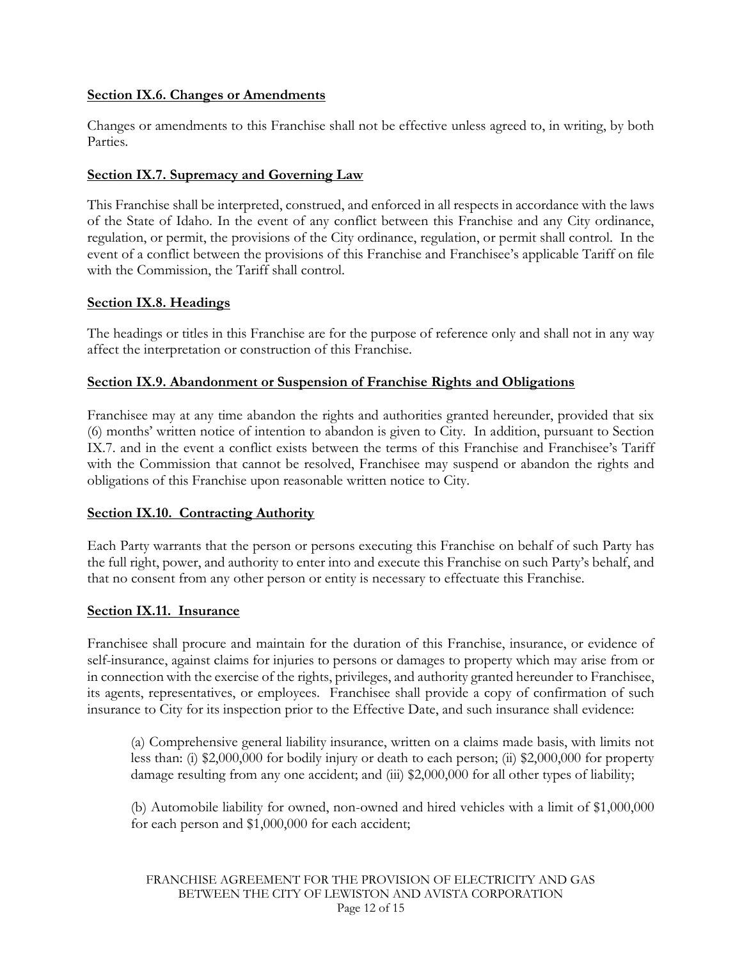## **Section IX.6. Changes or Amendments**

Changes or amendments to this Franchise shall not be effective unless agreed to, in writing, by both Parties.

## **Section IX.7. Supremacy and Governing Law**

This Franchise shall be interpreted, construed, and enforced in all respects in accordance with the laws of the State of Idaho. In the event of any conflict between this Franchise and any City ordinance, regulation, or permit, the provisions of the City ordinance, regulation, or permit shall control. In the event of a conflict between the provisions of this Franchise and Franchisee's applicable Tariff on file with the Commission, the Tariff shall control.

## **Section IX.8. Headings**

The headings or titles in this Franchise are for the purpose of reference only and shall not in any way affect the interpretation or construction of this Franchise.

## **Section IX.9. Abandonment or Suspension of Franchise Rights and Obligations**

Franchisee may at any time abandon the rights and authorities granted hereunder, provided that six (6) months' written notice of intention to abandon is given to City. In addition, pursuant to Section IX.7. and in the event a conflict exists between the terms of this Franchise and Franchisee's Tariff with the Commission that cannot be resolved, Franchisee may suspend or abandon the rights and obligations of this Franchise upon reasonable written notice to City.

### **Section IX.10. Contracting Authority**

Each Party warrants that the person or persons executing this Franchise on behalf of such Party has the full right, power, and authority to enter into and execute this Franchise on such Party's behalf, and that no consent from any other person or entity is necessary to effectuate this Franchise.

### **Section IX.11. Insurance**

Franchisee shall procure and maintain for the duration of this Franchise, insurance, or evidence of self-insurance, against claims for injuries to persons or damages to property which may arise from or in connection with the exercise of the rights, privileges, and authority granted hereunder to Franchisee, its agents, representatives, or employees. Franchisee shall provide a copy of confirmation of such insurance to City for its inspection prior to the Effective Date, and such insurance shall evidence:

(a) Comprehensive general liability insurance, written on a claims made basis, with limits not less than: (i) \$2,000,000 for bodily injury or death to each person; (ii) \$2,000,000 for property damage resulting from any one accident; and (iii) \$2,000,000 for all other types of liability;

(b) Automobile liability for owned, non-owned and hired vehicles with a limit of \$1,000,000 for each person and \$1,000,000 for each accident;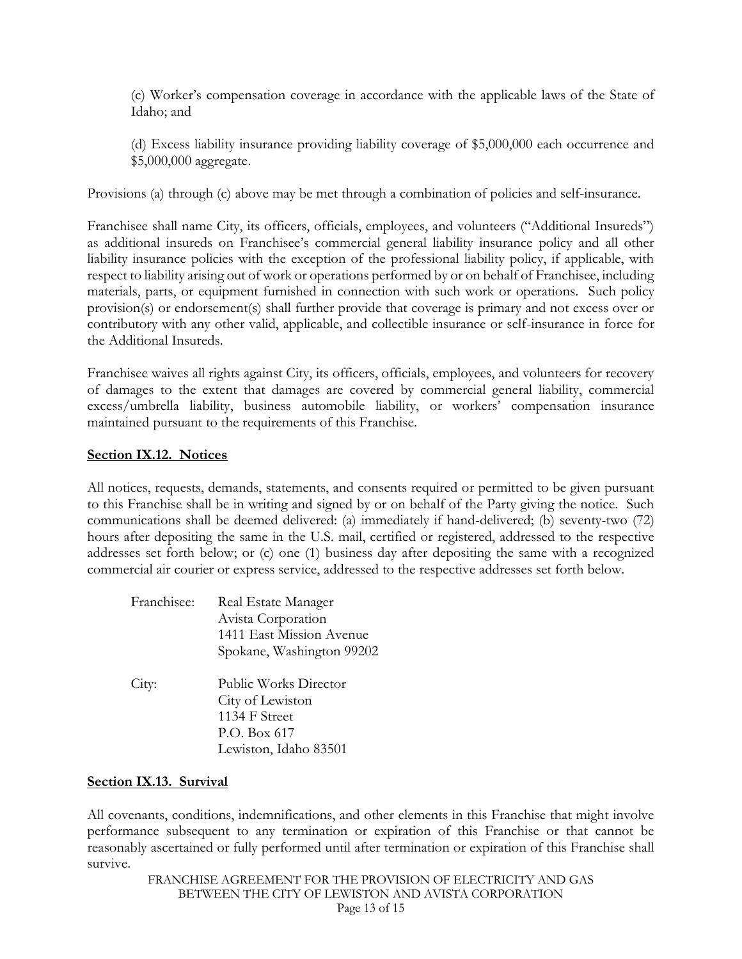(c) Worker's compensation coverage in accordance with the applicable laws of the State of Idaho; and

(d) Excess liability insurance providing liability coverage of \$5,000,000 each occurrence and \$5,000,000 aggregate.

Provisions (a) through (c) above may be met through a combination of policies and self-insurance.

Franchisee shall name City, its officers, officials, employees, and volunteers ("Additional Insureds") as additional insureds on Franchisee's commercial general liability insurance policy and all other liability insurance policies with the exception of the professional liability policy, if applicable, with respect to liability arising out of work or operations performed by or on behalf of Franchisee, including materials, parts, or equipment furnished in connection with such work or operations. Such policy provision(s) or endorsement(s) shall further provide that coverage is primary and not excess over or contributory with any other valid, applicable, and collectible insurance or self-insurance in force for the Additional Insureds.

Franchisee waives all rights against City, its officers, officials, employees, and volunteers for recovery of damages to the extent that damages are covered by commercial general liability, commercial excess/umbrella liability, business automobile liability, or workers' compensation insurance maintained pursuant to the requirements of this Franchise.

#### **Section IX.12. Notices**

All notices, requests, demands, statements, and consents required or permitted to be given pursuant to this Franchise shall be in writing and signed by or on behalf of the Party giving the notice. Such communications shall be deemed delivered: (a) immediately if hand-delivered; (b) seventy-two (72) hours after depositing the same in the U.S. mail, certified or registered, addressed to the respective addresses set forth below; or (c) one (1) business day after depositing the same with a recognized commercial air courier or express service, addressed to the respective addresses set forth below.

| Franchisee: | Real Estate Manager<br>Avista Corporation<br>1411 East Mission Avenue<br>Spokane, Washington 99202  |
|-------------|-----------------------------------------------------------------------------------------------------|
| City:       | Public Works Director<br>City of Lewiston<br>1134 F Street<br>P.O. Box 617<br>Lewiston, Idaho 83501 |

### **Section IX.13. Survival**

All covenants, conditions, indemnifications, and other elements in this Franchise that might involve performance subsequent to any termination or expiration of this Franchise or that cannot be reasonably ascertained or fully performed until after termination or expiration of this Franchise shall survive.

FRANCHISE AGREEMENT FOR THE PROVISION OF ELECTRICITY AND GAS BETWEEN THE CITY OF LEWISTON AND AVISTA CORPORATION Page 13 of 15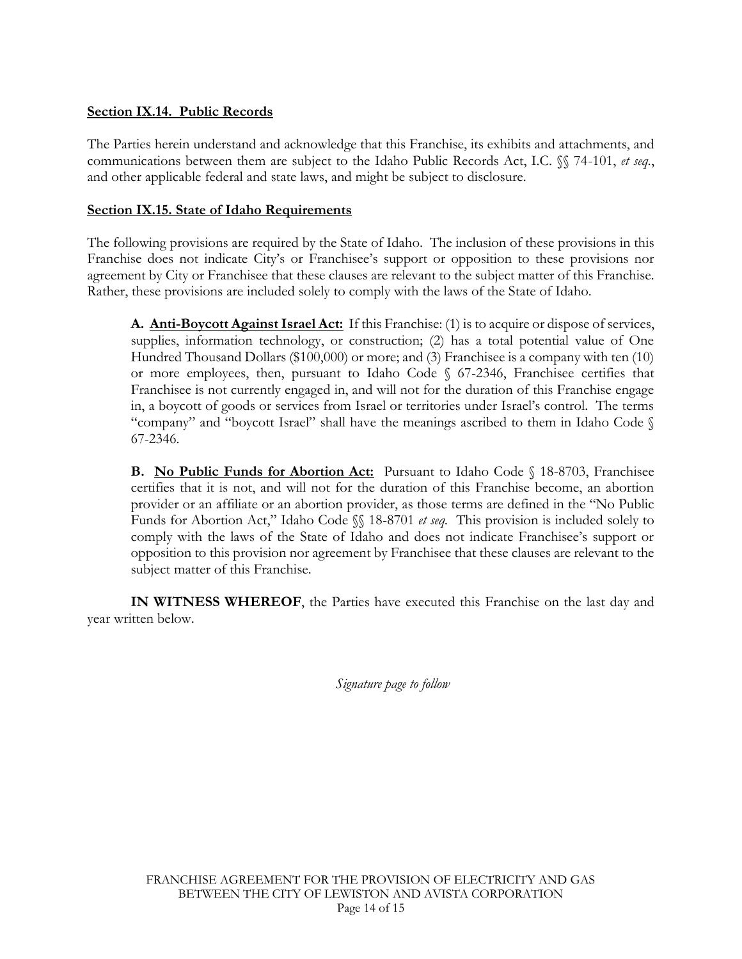## **Section IX.14. Public Records**

The Parties herein understand and acknowledge that this Franchise, its exhibits and attachments, and communications between them are subject to the Idaho Public Records Act, I.C. §§ 74-101, *et seq.*, and other applicable federal and state laws, and might be subject to disclosure.

### **Section IX.15. State of Idaho Requirements**

The following provisions are required by the State of Idaho. The inclusion of these provisions in this Franchise does not indicate City's or Franchisee's support or opposition to these provisions nor agreement by City or Franchisee that these clauses are relevant to the subject matter of this Franchise. Rather, these provisions are included solely to comply with the laws of the State of Idaho.

**A. Anti-Boycott Against Israel Act:** If this Franchise: (1) is to acquire or dispose of services, supplies, information technology, or construction; (2) has a total potential value of One Hundred Thousand Dollars (\$100,000) or more; and (3) Franchisee is a company with ten (10) or more employees, then, pursuant to Idaho Code § 67-2346, Franchisee certifies that Franchisee is not currently engaged in, and will not for the duration of this Franchise engage in, a boycott of goods or services from Israel or territories under Israel's control. The terms "company" and "boycott Israel" shall have the meanings ascribed to them in Idaho Code § 67-2346.

**B.** No Public Funds for Abortion Act: Pursuant to Idaho Code § 18-8703, Franchisee certifies that it is not, and will not for the duration of this Franchise become, an abortion provider or an affiliate or an abortion provider, as those terms are defined in the "No Public Funds for Abortion Act," Idaho Code §§ 18-8701 *et seq.* This provision is included solely to comply with the laws of the State of Idaho and does not indicate Franchisee's support or opposition to this provision nor agreement by Franchisee that these clauses are relevant to the subject matter of this Franchise.

**IN WITNESS WHEREOF**, the Parties have executed this Franchise on the last day and year written below.

*Signature page to follow*